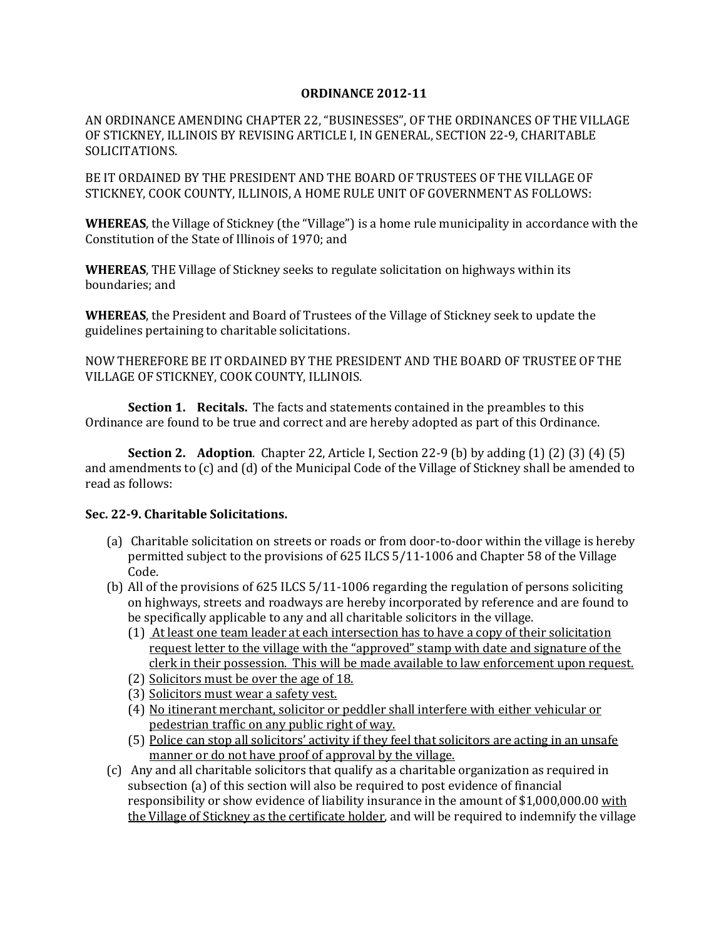## **ORDINANCE 2012-11**

AN ORDINANCE AMENDING CHAPTER 22, "BUSINESSES", OF THE ORDINANCES OF THE VILLAGE OF STICKNEY, ILLINOIS BY REVISING ARTICLE I, IN GENERAL, SECTION 22-9, CHARITABLE SOLICITATIONS.

BE IT ORDAINED BY THE PRESIDENT AND THE BOARD OF TRUSTEES OF THE VILLAGE OF STICKNEY, COOK COUNTY, ILLINOIS, A HOME RULE UNIT OF GOVERNMENT AS FOLLOWS:

**WHEREAS**, the Village of Stickney (the "Village") is a home rule municipality in accordance with the Constitution of the State of Illinois of 1970; and

**WHEREAS**, THE Village of Stickney seeks to regulate solicitation on highways within its boundaries; and

**WHEREAS**, the President and Board of Trustees of the Village of Stickney seek to update the guidelines pertaining to charitable solicitations.

NOW THEREFORE BE IT ORDAINED BY THE PRESIDENT AND THE BOARD OF TRUSTEE OF THE VILLAGE OF STICKNEY, COOK COUNTY, ILLINOIS.

**Section 1. Recitals.** The facts and statements contained in the preambles to this Ordinance are found to be true and correct and are hereby adopted as part of this Ordinance.

**Section 2. Adoption**. Chapter 22, Article I, Section 22-9 (b) by adding (1) (2) (3) (4) (5) and amendments to (c) and (d) of the Municipal Code of the Village of Stickney shall be amended to read as follows:

## **Sec. 22-9. Charitable Solicitations.**

- (a) Charitable solicitation on streets or roads or from door-to-door within the village is hereby permitted subject to the provisions of 625 ILCS 5/11-1006 and Chapter 58 of the Village Code.
- (b) All of the provisions of 625 ILCS 5/11-1006 regarding the regulation of persons soliciting on highways, streets and roadways are hereby incorporated by reference and are found to be specifically applicable to any and all charitable solicitors in the village.
	- (1) At least one team leader at each intersection has to have a copy of their solicitation request letter to the village with the "approved" stamp with date and signature of the clerk in their possession. This will be made available to law enforcement upon request.
	- (2) Solicitors must be over the age of 18.
	- (3) Solicitors must wear a safety vest.
	- (4) No itinerant merchant, solicitor or peddler shall interfere with either vehicular or pedestrian traffic on any public right of way.
	- (5) Police can stop all solicitors' activity if they feel that solicitors are acting in an unsafe manner or do not have proof of approval by the village.
- (c) Any and all charitable solicitors that qualify as a charitable organization as required in subsection (a) of this section will also be required to post evidence of financial responsibility or show evidence of liability insurance in the amount of \$1,000,000.00 <u>with</u> the Village of Stickney as the certificate holder, and will be required to indemnify the village